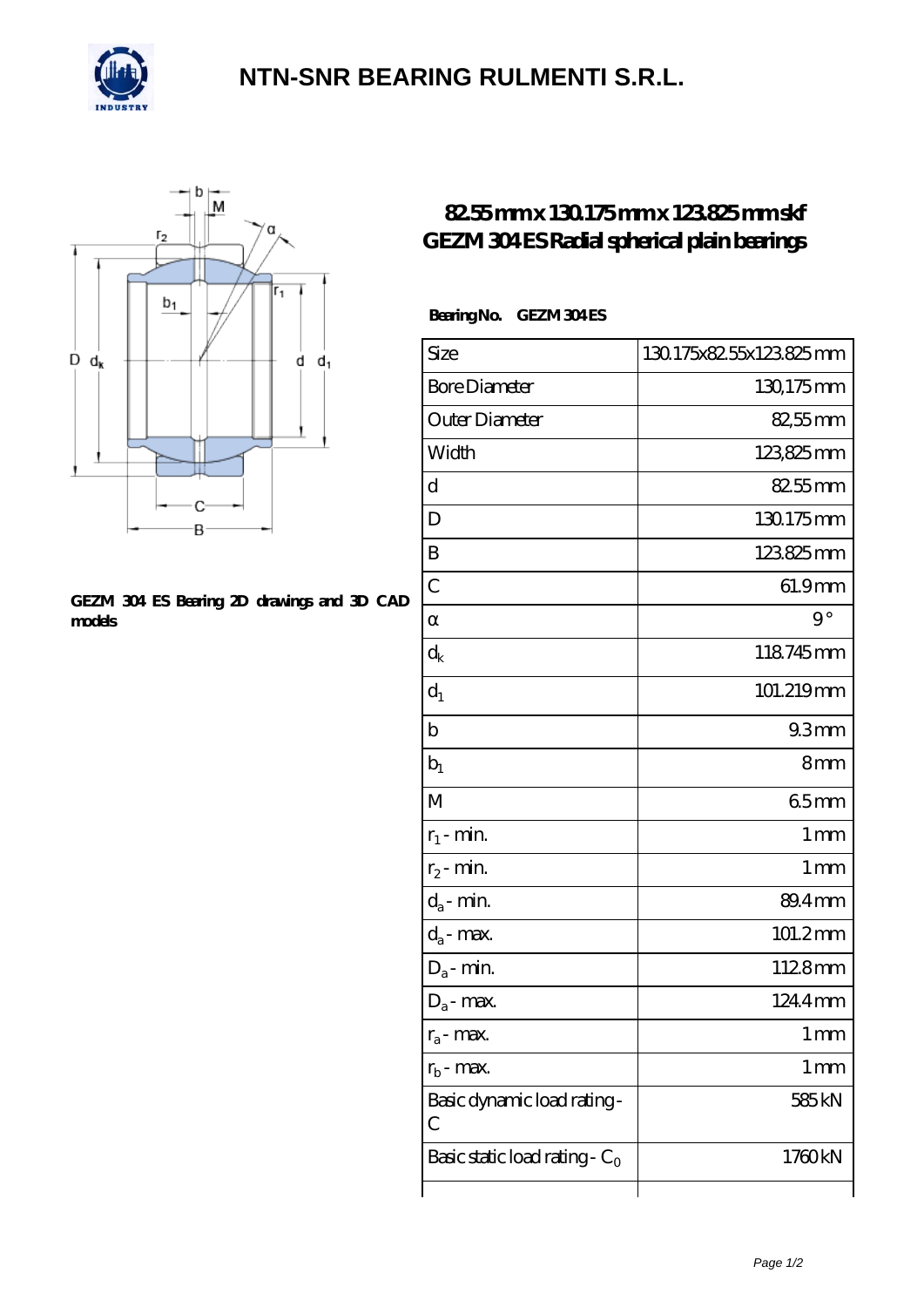

## **[NTN-SNR BEARING RULMENTI S.R.L.](https://m.confidencemenimprov.com)**



#### **[GEZM 304 ES Bearing 2D drawings and 3D CAD](https://m.confidencemenimprov.com/pic-64975172.html) [models](https://m.confidencemenimprov.com/pic-64975172.html)**

### **[82.55 mm x 130.175 mm x 123.825 mm skf](https://m.confidencemenimprov.com/by-64975172-skf-gezm-304-es-radial-spherical-plain-bearings.html) [GEZM 304 ES Radial spherical plain bearings](https://m.confidencemenimprov.com/by-64975172-skf-gezm-304-es-radial-spherical-plain-bearings.html)**

### **Bearing No. GEZM 304 ES**

| Size                                 | 130.175x82.55x123.825mm |
|--------------------------------------|-------------------------|
| <b>Bore Diameter</b>                 | 130,175mm               |
| Outer Diameter                       | 82,55mm                 |
| Width                                | 123825mm                |
| d                                    | 82.55mm                 |
| D                                    | 130.175mm               |
| B                                    | 123825mm                |
| $\overline{C}$                       | 61.9mm                  |
|                                      | $9^{\circ}$             |
| $\rm{d_k}$                           | 118745mm                |
| $d_1$                                | 101.219mm               |
| $\mathbf b$                          | 93mm                    |
| $b_1$                                | 8mm                     |
| M                                    | 65mm                    |
| $r_1$ - min.                         | 1 <sub>mm</sub>         |
| $r_2$ - min.                         | 1 <sub>mm</sub>         |
| $d_a$ - min.                         | 89.4mm                  |
| $d_a$ - max.                         | 101.2mm                 |
| $\mathrm{D}_\mathrm{a}\text{-}$ min. | 1128mm                  |
| $D_a$ - max.                         | 124.4mm                 |
| $r_a$ - max.                         | $1 \,\mathrm{mm}$       |
| $r_{\rm b}$ - max.                   | 1 mm                    |
| Basic dynamic load rating-<br>С      | 585 kN                  |
| Basic static load rating - $C_0$     | 1760kN                  |